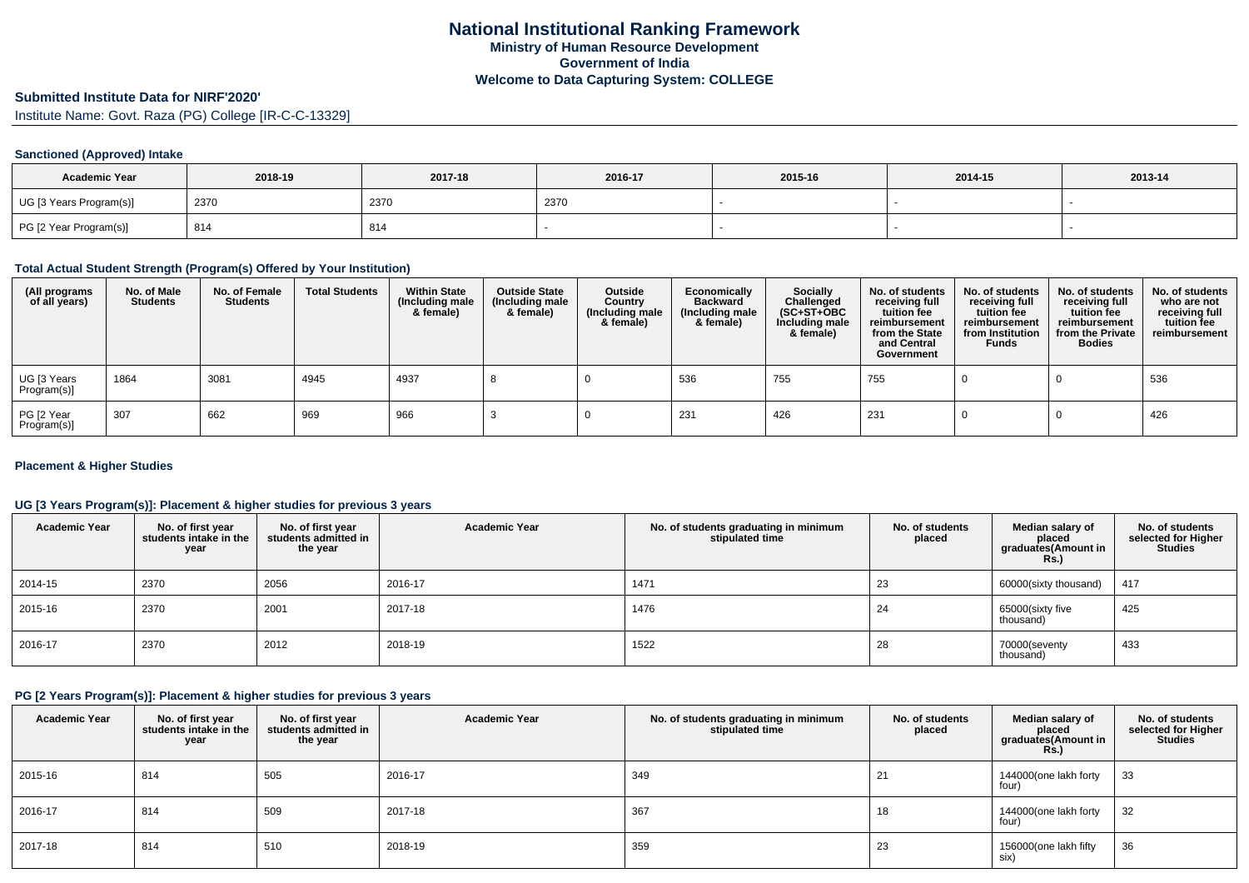# **Submitted Institute Data for NIRF'2020'**

Institute Name: Govt. Raza (PG) College [IR-C-C-13329]

## **Sanctioned (Approved) Intake**

| <b>Academic Year</b>    | 2018-19 | 2017-18 | 2016-17 | 2015-16 | 2014-15 | 2013-14 |
|-------------------------|---------|---------|---------|---------|---------|---------|
| UG [3 Years Program(s)] | 2370    | 2370    | 2370    |         |         |         |
| PG [2 Year Program(s)]  | 814     | 814     |         |         |         |         |

#### **Total Actual Student Strength (Program(s) Offered by Your Institution)**

| (All programs<br>of all years) | No. of Male<br><b>Students</b> | No. of Female<br><b>Students</b> | <b>Total Students</b> | <b>Within State</b><br>(Including male<br>& female) | <b>Outside State</b><br>(Including male<br>& female) | Outside<br>Country<br>(Including male<br>& female) | Economically<br><b>Backward</b><br>(Including male<br>& female) | Socially<br>Challenged<br>$(SC+ST+OBC)$<br>Including male<br>& female) | No. of students<br>receiving full<br>tuition fee<br>reimbursement<br>from the State<br>and Central<br>Government | No. of students<br>receiving full<br>tuition fee<br>reimbursement<br>from Institution<br><b>Funds</b> | No. of students<br>receiving full<br>tuition fee<br>reimbursement<br>from the Private<br><b>Bodies</b> | No. of students<br>who are not<br>receiving full<br>tuition fee<br>reimbursement |
|--------------------------------|--------------------------------|----------------------------------|-----------------------|-----------------------------------------------------|------------------------------------------------------|----------------------------------------------------|-----------------------------------------------------------------|------------------------------------------------------------------------|------------------------------------------------------------------------------------------------------------------|-------------------------------------------------------------------------------------------------------|--------------------------------------------------------------------------------------------------------|----------------------------------------------------------------------------------|
| UG [3 Years<br>Program(s)]     | 1864                           | 3081                             | 4945                  | 4937                                                |                                                      |                                                    | 536                                                             | 755                                                                    | 755                                                                                                              |                                                                                                       |                                                                                                        | 536                                                                              |
| PG [2 Year<br>Program(s)]      | 307                            | 662                              | 969                   | 966                                                 |                                                      |                                                    | 231                                                             | 426                                                                    | 231                                                                                                              |                                                                                                       |                                                                                                        | 426                                                                              |

## **Placement & Higher Studies**

## **UG [3 Years Program(s)]: Placement & higher studies for previous 3 years**

| <b>Academic Year</b> | No. of first year<br>students intake in the<br>year | No. of first year<br>students admitted in<br>the year | <b>Academic Year</b> | No. of students graduating in minimum<br>stipulated time | No. of students<br>placed | Median salary of<br>placed<br>graduates(Amount in<br>Rs.) | No. of students<br>selected for Higher<br><b>Studies</b> |
|----------------------|-----------------------------------------------------|-------------------------------------------------------|----------------------|----------------------------------------------------------|---------------------------|-----------------------------------------------------------|----------------------------------------------------------|
| 2014-15              | 2370                                                | 2056                                                  | 2016-17              | 1471                                                     | 23                        | 60000(sixty thousand)                                     | 417                                                      |
| 2015-16              | 2370                                                | 2001                                                  | 2017-18              | 1476                                                     | 24                        | 65000(sixty five<br>thousand)                             | 425                                                      |
| 2016-17              | 2370                                                | 2012                                                  | 2018-19              | 1522                                                     | 28                        | 70000(seventy<br>thousand)                                | 433                                                      |

# **PG [2 Years Program(s)]: Placement & higher studies for previous 3 years**

| <b>Academic Year</b> | No. of first year<br>students intake in the<br>year | No. of first year<br>students admitted in<br>the year | <b>Academic Year</b> | No. of students graduating in minimum<br>stipulated time | No. of students<br>placed | Median salary of<br>placed<br>graduates (Amount in<br><b>Rs.)</b> | No. of students<br>selected for Higher<br><b>Studies</b> |
|----------------------|-----------------------------------------------------|-------------------------------------------------------|----------------------|----------------------------------------------------------|---------------------------|-------------------------------------------------------------------|----------------------------------------------------------|
| 2015-16              | 814                                                 | 505                                                   | 2016-17              | 349                                                      | 21                        | 144000(one lakh forty<br>four)                                    | 33                                                       |
| 2016-17              | 814                                                 | 509                                                   | 2017-18              | 367                                                      | 18                        | 144000(one lakh forty<br>four)                                    | 32                                                       |
| 2017-18              | 814                                                 | 510                                                   | 2018-19              | 359                                                      | 23                        | 156000(one lakh fifty<br>six)                                     | 36                                                       |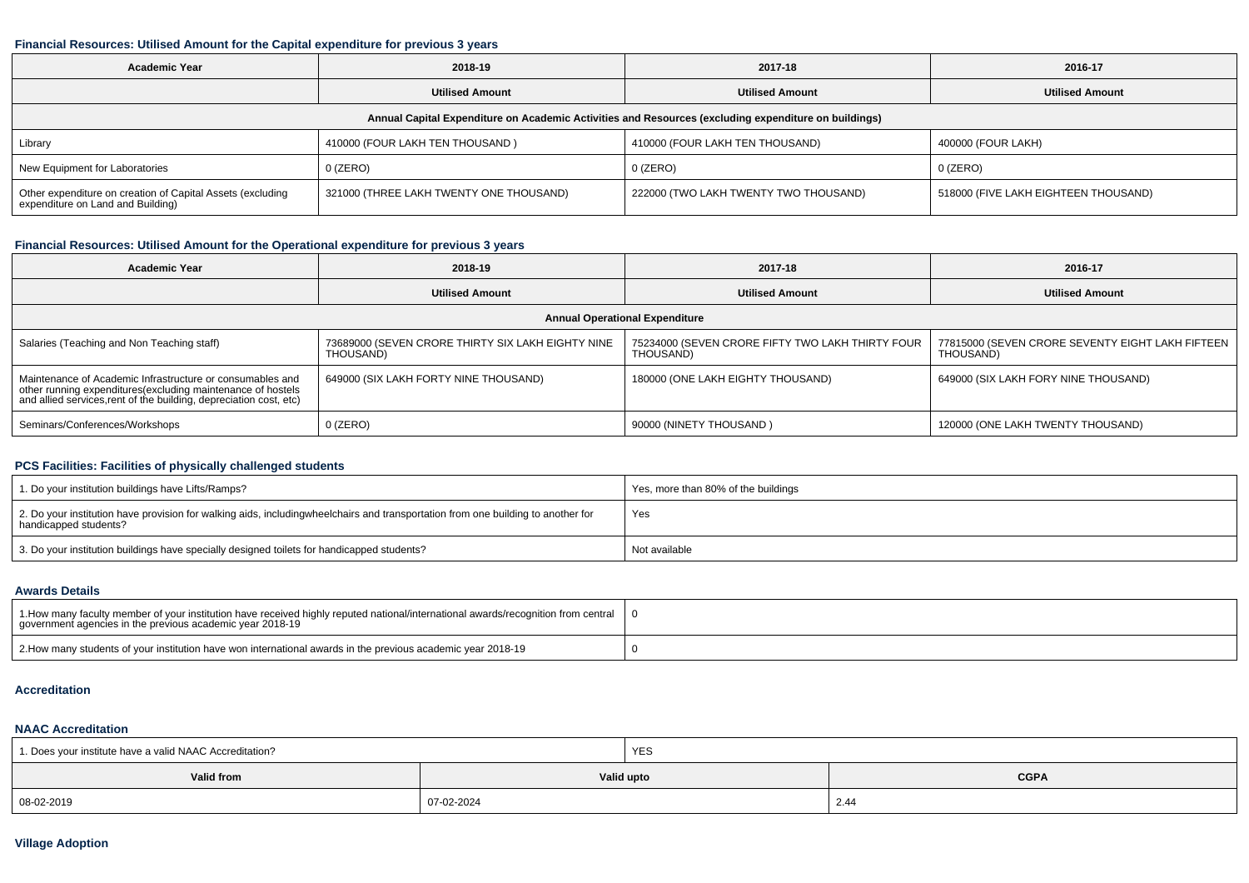#### **Financial Resources: Utilised Amount for the Capital expenditure for previous 3 years**

| <b>Academic Year</b><br>2018-19                                                                      |                                         | 2017-18                               | 2016-17                              |  |  |  |  |  |  |
|------------------------------------------------------------------------------------------------------|-----------------------------------------|---------------------------------------|--------------------------------------|--|--|--|--|--|--|
|                                                                                                      | <b>Utilised Amount</b>                  | <b>Utilised Amount</b>                | <b>Utilised Amount</b>               |  |  |  |  |  |  |
| Annual Capital Expenditure on Academic Activities and Resources (excluding expenditure on buildings) |                                         |                                       |                                      |  |  |  |  |  |  |
| Library                                                                                              | 410000 (FOUR LAKH TEN THOUSAND)         | 410000 (FOUR LAKH TEN THOUSAND)       | 400000 (FOUR LAKH)                   |  |  |  |  |  |  |
| New Equipment for Laboratories                                                                       | 0 (ZERO)                                | 0 (ZERO)                              | $0$ (ZERO)                           |  |  |  |  |  |  |
| Other expenditure on creation of Capital Assets (excluding<br>expenditure on Land and Building)      | 321000 (THREE LAKH TWENTY ONE THOUSAND) | 222000 (TWO LAKH TWENTY TWO THOUSAND) | 518000 (FIVE LAKH EIGHTEEN THOUSAND) |  |  |  |  |  |  |

## **Financial Resources: Utilised Amount for the Operational expenditure for previous 3 years**

| <b>Academic Year</b>                                                                                                                                                                            | 2018-19                                                        | 2017-18                                                       | 2016-17                                                         |  |  |  |  |  |  |
|-------------------------------------------------------------------------------------------------------------------------------------------------------------------------------------------------|----------------------------------------------------------------|---------------------------------------------------------------|-----------------------------------------------------------------|--|--|--|--|--|--|
|                                                                                                                                                                                                 | <b>Utilised Amount</b>                                         | <b>Utilised Amount</b>                                        | <b>Utilised Amount</b>                                          |  |  |  |  |  |  |
| <b>Annual Operational Expenditure</b>                                                                                                                                                           |                                                                |                                                               |                                                                 |  |  |  |  |  |  |
| Salaries (Teaching and Non Teaching staff)                                                                                                                                                      | 73689000 (SEVEN CRORE THIRTY SIX LAKH EIGHTY NINE<br>THOUSAND) | 75234000 (SEVEN CRORE FIFTY TWO LAKH THIRTY FOUR<br>THOUSAND) | 77815000 (SEVEN CRORE SEVENTY EIGHT LAKH FIFTEEN  <br>THOUSAND) |  |  |  |  |  |  |
| Maintenance of Academic Infrastructure or consumables and<br>other running expenditures (excluding maintenance of hostels<br>and allied services, rent of the building, depreciation cost, etc) | 649000 (SIX LAKH FORTY NINE THOUSAND)                          | 180000 (ONE LAKH EIGHTY THOUSAND)                             | 649000 (SIX LAKH FORY NINE THOUSAND)                            |  |  |  |  |  |  |
| Seminars/Conferences/Workshops                                                                                                                                                                  | $0$ (ZERO)                                                     | 90000 (NINETY THOUSAND)                                       | 120000 (ONE LAKH TWENTY THOUSAND)                               |  |  |  |  |  |  |

# **PCS Facilities: Facilities of physically challenged students**

| 1. Do your institution buildings have Lifts/Ramps?                                                                                                        | Yes, more than 80% of the buildings |
|-----------------------------------------------------------------------------------------------------------------------------------------------------------|-------------------------------------|
| 2. Do your institution have provision for walking aids, includingwheelchairs and transportation from one building to another for<br>handicapped students? | Yes                                 |
| 3. Do your institution buildings have specially designed toilets for handicapped students?                                                                | Not available                       |

#### **Awards Details**

| 1. How many faculty member of your institution have received highly reputed national/international awards/recognition from central   0<br>government agencies in the previous academic year 2018-19 |  |
|-----------------------------------------------------------------------------------------------------------------------------------------------------------------------------------------------------|--|
| 2. How many students of your institution have won international awards in the previous academic year 2018-19                                                                                        |  |

#### **Accreditation**

#### **NAAC Accreditation**

| 1. Does your institute have a valid NAAC Accreditation? |            | YES                       |      |  |  |
|---------------------------------------------------------|------------|---------------------------|------|--|--|
| <b>Valid from</b>                                       |            | <b>CGPA</b><br>Valid upto |      |  |  |
| 08-02-2019                                              | 07-02-2024 |                           | 2.44 |  |  |

## **Village Adoption**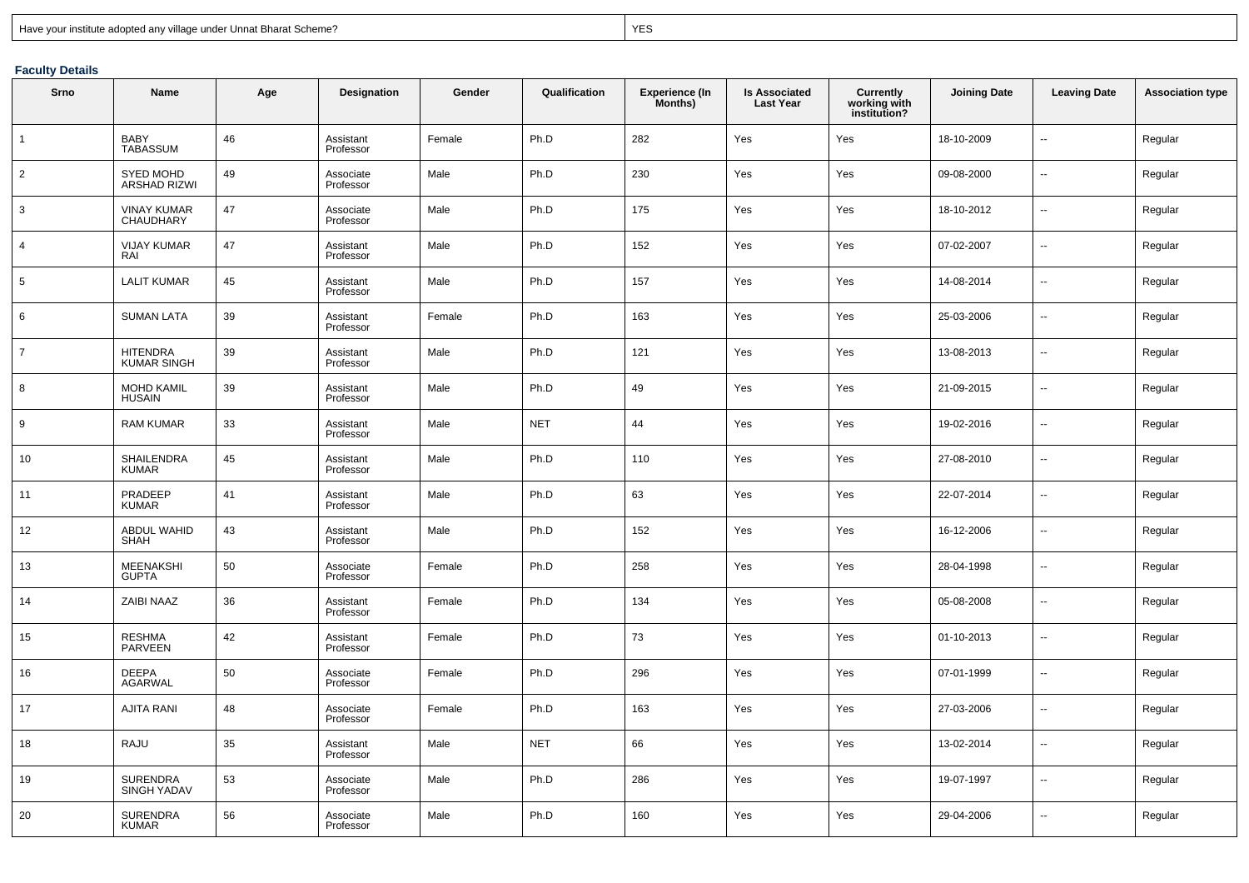| Have your institute adopted any village under Unnat Bharat Scheme? |  |  |  |
|--------------------------------------------------------------------|--|--|--|
|                                                                    |  |  |  |

extended to the contract of the contract of the contract of the contract of the contract of the contract of the contract of the contract of the contract of the contract of the contract of the contract of the contract of th

# **Faculty Details**

| Srno            | Name                                    | Age | <b>Designation</b>     | Gender | Qualification | <b>Experience (In</b><br>Months) | <b>Is Associated</b><br><b>Last Year</b> | <b>Currently</b><br>working with<br>institution? | <b>Joining Date</b> | <b>Leaving Date</b> | <b>Association type</b> |
|-----------------|-----------------------------------------|-----|------------------------|--------|---------------|----------------------------------|------------------------------------------|--------------------------------------------------|---------------------|---------------------|-------------------------|
| $\mathbf{1}$    | <b>BABY</b><br><b>TABASSUM</b>          | 46  | Assistant<br>Professor | Female | Ph.D          | 282                              | Yes                                      | Yes                                              | 18-10-2009          | $\overline{a}$      | Regular                 |
| $\overline{2}$  | <b>SYED MOHD</b><br><b>ARSHAD RIZWI</b> | 49  | Associate<br>Professor | Male   | Ph.D          | 230                              | Yes                                      | Yes                                              | 09-08-2000          | u.                  | Regular                 |
| 3               | <b>VINAY KUMAR</b><br>CHAUDHARY         | 47  | Associate<br>Professor | Male   | Ph.D          | 175                              | Yes                                      | Yes                                              | 18-10-2012          | $\overline{a}$      | Regular                 |
| $\overline{4}$  | <b>VIJAY KUMAR</b><br>RAI               | 47  | Assistant<br>Professor | Male   | Ph.D          | 152                              | Yes                                      | Yes                                              | 07-02-2007          | u.                  | Regular                 |
| $5\phantom{.0}$ | <b>LALIT KUMAR</b>                      | 45  | Assistant<br>Professor | Male   | Ph.D          | 157                              | Yes                                      | Yes                                              | 14-08-2014          | $\overline{a}$      | Regular                 |
| 6               | <b>SUMAN LATA</b>                       | 39  | Assistant<br>Professor | Female | Ph.D          | 163                              | Yes                                      | Yes                                              | 25-03-2006          | u.                  | Regular                 |
| $\overline{7}$  | <b>HITENDRA</b><br><b>KUMAR SINGH</b>   | 39  | Assistant<br>Professor | Male   | Ph.D          | 121                              | Yes                                      | Yes                                              | 13-08-2013          | $\overline{a}$      | Regular                 |
| 8               | <b>MOHD KAMIL</b><br><b>HUSAIN</b>      | 39  | Assistant<br>Professor | Male   | Ph.D          | 49                               | Yes                                      | Yes                                              | 21-09-2015          | ÷.                  | Regular                 |
| 9               | <b>RAM KUMAR</b>                        | 33  | Assistant<br>Professor | Male   | <b>NET</b>    | 44                               | Yes                                      | Yes                                              | 19-02-2016          | $\overline{a}$      | Regular                 |
| 10              | SHAILENDRA<br><b>KUMAR</b>              | 45  | Assistant<br>Professor | Male   | Ph.D          | 110                              | Yes                                      | Yes                                              | 27-08-2010          | $\overline{a}$      | Regular                 |
| 11              | PRADEEP<br><b>KUMAR</b>                 | 41  | Assistant<br>Professor | Male   | Ph.D          | 63                               | Yes                                      | Yes                                              | 22-07-2014          | ш,                  | Regular                 |
| 12              | <b>ABDUL WAHID</b><br>SHAH              | 43  | Assistant<br>Professor | Male   | Ph.D          | 152                              | Yes                                      | Yes                                              | 16-12-2006          | $\overline{a}$      | Regular                 |
| 13              | <b>MEENAKSHI</b><br><b>GUPTA</b>        | 50  | Associate<br>Professor | Female | Ph.D          | 258                              | Yes                                      | Yes                                              | 28-04-1998          | -−                  | Regular                 |
| 14              | <b>ZAIBI NAAZ</b>                       | 36  | Assistant<br>Professor | Female | Ph.D          | 134                              | Yes                                      | Yes                                              | 05-08-2008          | u.                  | Regular                 |
| 15              | <b>RESHMA</b><br>PARVEEN                | 42  | Assistant<br>Professor | Female | Ph.D          | 73                               | Yes                                      | Yes                                              | 01-10-2013          |                     | Regular                 |
| 16              | <b>DEEPA</b><br><b>AGARWAL</b>          | 50  | Associate<br>Professor | Female | Ph.D          | 296                              | Yes                                      | Yes                                              | 07-01-1999          |                     | Regular                 |
| 17              | <b>AJITA RANI</b>                       | 48  | Associate<br>Professor | Female | Ph.D          | 163                              | Yes                                      | Yes                                              | 27-03-2006          | ÷.                  | Regular                 |
| 18              | RAJU                                    | 35  | Assistant<br>Professor | Male   | <b>NET</b>    | 66                               | Yes                                      | Yes                                              | 13-02-2014          | u.                  | Regular                 |
| 19              | SURENDRA<br><b>SINGH YADAV</b>          | 53  | Associate<br>Professor | Male   | Ph.D          | 286                              | Yes                                      | Yes                                              | 19-07-1997          | $\overline{a}$      | Regular                 |
| 20              | <b>SURENDRA</b><br><b>KUMAR</b>         | 56  | Associate<br>Professor | Male   | Ph.D          | 160                              | Yes                                      | Yes                                              | 29-04-2006          | $\overline{a}$      | Regular                 |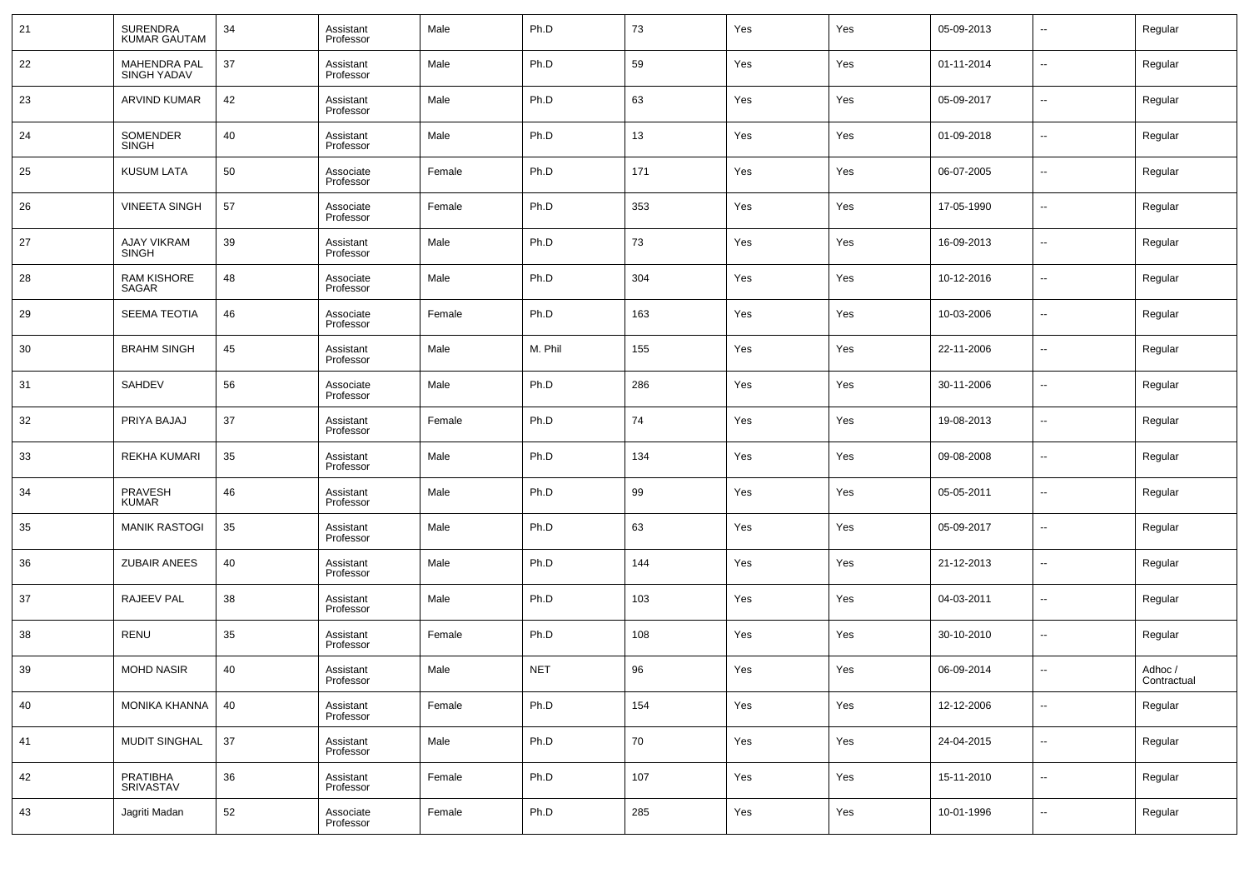| 21 | <b>SURENDRA</b><br><b>KUMAR GAUTAM</b>    | 34 | Assistant<br>Professor | Male   | Ph.D       | 73  | Yes | Yes | 05-09-2013 | $\overline{\phantom{a}}$ | Regular                |
|----|-------------------------------------------|----|------------------------|--------|------------|-----|-----|-----|------------|--------------------------|------------------------|
| 22 | <b>MAHENDRA PAL</b><br><b>SINGH YADAV</b> | 37 | Assistant<br>Professor | Male   | Ph.D       | 59  | Yes | Yes | 01-11-2014 | --                       | Regular                |
| 23 | <b>ARVIND KUMAR</b>                       | 42 | Assistant<br>Professor | Male   | Ph.D       | 63  | Yes | Yes | 05-09-2017 | $\overline{\phantom{a}}$ | Regular                |
| 24 | SOMENDER<br><b>SINGH</b>                  | 40 | Assistant<br>Professor | Male   | Ph.D       | 13  | Yes | Yes | 01-09-2018 | --                       | Regular                |
| 25 | <b>KUSUM LATA</b>                         | 50 | Associate<br>Professor | Female | Ph.D       | 171 | Yes | Yes | 06-07-2005 | --                       | Regular                |
| 26 | <b>VINEETA SINGH</b>                      | 57 | Associate<br>Professor | Female | Ph.D       | 353 | Yes | Yes | 17-05-1990 | --                       | Regular                |
| 27 | <b>AJAY VIKRAM</b><br><b>SINGH</b>        | 39 | Assistant<br>Professor | Male   | Ph.D       | 73  | Yes | Yes | 16-09-2013 | --                       | Regular                |
| 28 | <b>RAM KISHORE</b><br>SAGAR               | 48 | Associate<br>Professor | Male   | Ph.D       | 304 | Yes | Yes | 10-12-2016 | --                       | Regular                |
| 29 | <b>SEEMA TEOTIA</b>                       | 46 | Associate<br>Professor | Female | Ph.D       | 163 | Yes | Yes | 10-03-2006 | $\overline{\phantom{a}}$ | Regular                |
| 30 | <b>BRAHM SINGH</b>                        | 45 | Assistant<br>Professor | Male   | M. Phil    | 155 | Yes | Yes | 22-11-2006 | $\overline{\phantom{a}}$ | Regular                |
| 31 | <b>SAHDEV</b>                             | 56 | Associate<br>Professor | Male   | Ph.D       | 286 | Yes | Yes | 30-11-2006 | $\overline{\phantom{a}}$ | Regular                |
| 32 | PRIYA BAJAJ                               | 37 | Assistant<br>Professor | Female | Ph.D       | 74  | Yes | Yes | 19-08-2013 | $\overline{\phantom{a}}$ | Regular                |
| 33 | <b>REKHA KUMARI</b>                       | 35 | Assistant<br>Professor | Male   | Ph.D       | 134 | Yes | Yes | 09-08-2008 | $\overline{\phantom{a}}$ | Regular                |
| 34 | <b>PRAVESH</b><br><b>KUMAR</b>            | 46 | Assistant<br>Professor | Male   | Ph.D       | 99  | Yes | Yes | 05-05-2011 | $\overline{\phantom{a}}$ | Regular                |
| 35 | <b>MANIK RASTOGI</b>                      | 35 | Assistant<br>Professor | Male   | Ph.D       | 63  | Yes | Yes | 05-09-2017 | $\overline{\phantom{a}}$ | Regular                |
| 36 | <b>ZUBAIR ANEES</b>                       | 40 | Assistant<br>Professor | Male   | Ph.D       | 144 | Yes | Yes | 21-12-2013 | $\overline{\phantom{a}}$ | Regular                |
| 37 | <b>RAJEEV PAL</b>                         | 38 | Assistant<br>Professor | Male   | Ph.D       | 103 | Yes | Yes | 04-03-2011 | $\overline{\phantom{a}}$ | Regular                |
| 38 | <b>RENU</b>                               | 35 | Assistant<br>Professor | Female | Ph.D       | 108 | Yes | Yes | 30-10-2010 | $\overline{\phantom{a}}$ | Regular                |
| 39 | <b>MOHD NASIR</b>                         | 40 | Assistant<br>Professor | Male   | <b>NET</b> | 96  | Yes | Yes | 06-09-2014 | $\overline{\phantom{a}}$ | Adhoc /<br>Contractual |
| 40 | MONIKA KHANNA                             | 40 | Assistant<br>Professor | Female | Ph.D       | 154 | Yes | Yes | 12-12-2006 | $\overline{\phantom{a}}$ | Regular                |
| 41 | MUDIT SINGHAL                             | 37 | Assistant<br>Professor | Male   | Ph.D       | 70  | Yes | Yes | 24-04-2015 | $\sim$                   | Regular                |
| 42 | PRATIBHA<br>SRIVASTAV                     | 36 | Assistant<br>Professor | Female | Ph.D       | 107 | Yes | Yes | 15-11-2010 | $\overline{\phantom{a}}$ | Regular                |
| 43 | Jagriti Madan                             | 52 | Associate<br>Professor | Female | Ph.D       | 285 | Yes | Yes | 10-01-1996 | $\overline{\phantom{a}}$ | Regular                |